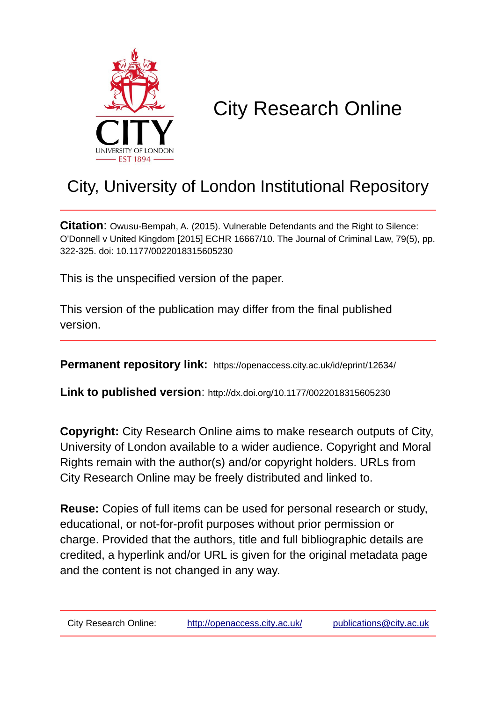

# City Research Online

# City, University of London Institutional Repository

**Citation**: Owusu-Bempah, A. (2015). Vulnerable Defendants and the Right to Silence: O'Donnell v United Kingdom [2015] ECHR 16667/10. The Journal of Criminal Law, 79(5), pp. 322-325. doi: 10.1177/0022018315605230

This is the unspecified version of the paper.

This version of the publication may differ from the final published version.

**Permanent repository link:** https://openaccess.city.ac.uk/id/eprint/12634/

**Link to published version**: http://dx.doi.org/10.1177/0022018315605230

**Copyright:** City Research Online aims to make research outputs of City, University of London available to a wider audience. Copyright and Moral Rights remain with the author(s) and/or copyright holders. URLs from City Research Online may be freely distributed and linked to.

**Reuse:** Copies of full items can be used for personal research or study, educational, or not-for-profit purposes without prior permission or charge. Provided that the authors, title and full bibliographic details are credited, a hyperlink and/or URL is given for the original metadata page and the content is not changed in any way.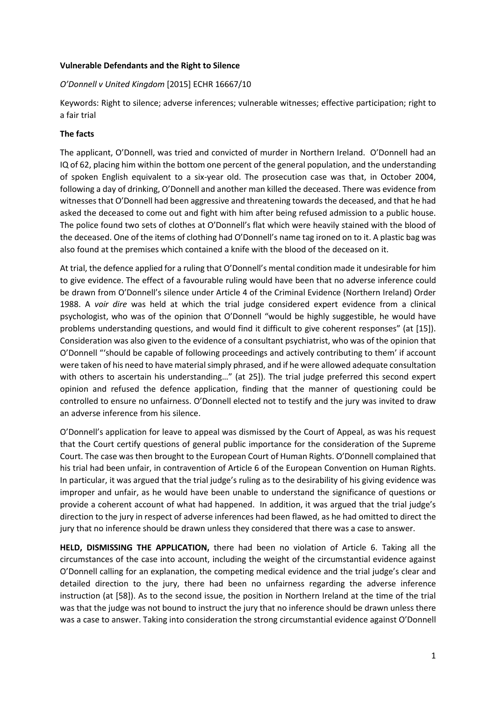#### **Vulnerable Defendants and the Right to Silence**

#### *O'Donnell v United Kingdom* [2015] ECHR 16667/10

Keywords: Right to silence; adverse inferences; vulnerable witnesses; effective participation; right to a fair trial

## **The facts**

The applicant, O'Donnell, was tried and convicted of murder in Northern Ireland. O'Donnell had an IQ of 62, placing him within the bottom one percent of the general population, and the understanding of spoken English equivalent to a six-year old. The prosecution case was that, in October 2004, following a day of drinking, O'Donnell and another man killed the deceased. There was evidence from witnesses that O'Donnell had been aggressive and threatening towards the deceased, and that he had asked the deceased to come out and fight with him after being refused admission to a public house. The police found two sets of clothes at O'Donnell's flat which were heavily stained with the blood of the deceased. One of the items of clothing had O'Donnell's name tag ironed on to it. A plastic bag was also found at the premises which contained a knife with the blood of the deceased on it.

At trial, the defence applied for a ruling that O'Donnell's mental condition made it undesirable for him to give evidence. The effect of a favourable ruling would have been that no adverse inference could be drawn from O'Donnell's silence under Article 4 of the Criminal Evidence (Northern Ireland) Order 1988. A *voir dire* was held at which the trial judge considered expert evidence from a clinical psychologist, who was of the opinion that O'Donnell "would be highly suggestible, he would have problems understanding questions, and would find it difficult to give coherent responses" (at [15]). Consideration was also given to the evidence of a consultant psychiatrist, who was of the opinion that O'Donnell "'should be capable of following proceedings and actively contributing to them' if account were taken of his need to have material simply phrased, and if he were allowed adequate consultation with others to ascertain his understanding…" (at 25]). The trial judge preferred this second expert opinion and refused the defence application, finding that the manner of questioning could be controlled to ensure no unfairness. O'Donnell elected not to testify and the jury was invited to draw an adverse inference from his silence.

O'Donnell's application for leave to appeal was dismissed by the Court of Appeal, as was his request that the Court certify questions of general public importance for the consideration of the Supreme Court. The case was then brought to the European Court of Human Rights. O'Donnell complained that his trial had been unfair, in contravention of Article 6 of the European Convention on Human Rights. In particular, it was argued that the trial judge's ruling as to the desirability of his giving evidence was improper and unfair, as he would have been unable to understand the significance of questions or provide a coherent account of what had happened. In addition, it was argued that the trial judge's direction to the jury in respect of adverse inferences had been flawed, as he had omitted to direct the jury that no inference should be drawn unless they considered that there was a case to answer.

**HELD, DISMISSING THE APPLICATION,** there had been no violation of Article 6. Taking all the circumstances of the case into account, including the weight of the circumstantial evidence against O'Donnell calling for an explanation, the competing medical evidence and the trial judge's clear and detailed direction to the jury, there had been no unfairness regarding the adverse inference instruction (at [58]). As to the second issue, the position in Northern Ireland at the time of the trial was that the judge was not bound to instruct the jury that no inference should be drawn unless there was a case to answer. Taking into consideration the strong circumstantial evidence against O'Donnell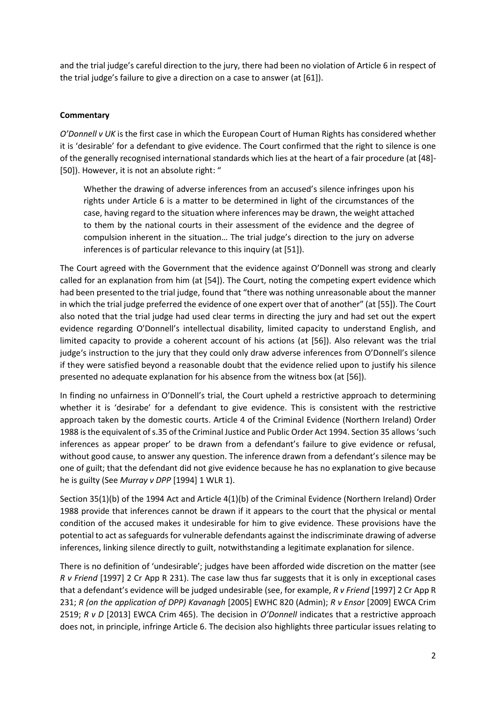and the trial judge's careful direction to the jury, there had been no violation of Article 6 in respect of the trial judge's failure to give a direction on a case to answer (at [61]).

### **Commentary**

*O'Donnell v UK* is the first case in which the European Court of Human Rights has considered whether it is 'desirable' for a defendant to give evidence. The Court confirmed that the right to silence is one of the generally recognised international standards which lies at the heart of a fair procedure (at [48]- [50]). However, it is not an absolute right: "

Whether the drawing of adverse inferences from an accused's silence infringes upon his rights under Article 6 is a matter to be determined in light of the circumstances of the case, having regard to the situation where inferences may be drawn, the weight attached to them by the national courts in their assessment of the evidence and the degree of compulsion inherent in the situation… The trial judge's direction to the jury on adverse inferences is of particular relevance to this inquiry (at [51]).

The Court agreed with the Government that the evidence against O'Donnell was strong and clearly called for an explanation from him (at [54]). The Court, noting the competing expert evidence which had been presented to the trial judge, found that "there was nothing unreasonable about the manner in which the trial judge preferred the evidence of one expert over that of another" (at [55]). The Court also noted that the trial judge had used clear terms in directing the jury and had set out the expert evidence regarding O'Donnell's intellectual disability, limited capacity to understand English, and limited capacity to provide a coherent account of his actions (at [56]). Also relevant was the trial judge's instruction to the jury that they could only draw adverse inferences from O'Donnell's silence if they were satisfied beyond a reasonable doubt that the evidence relied upon to justify his silence presented no adequate explanation for his absence from the witness box (at [56]).

In finding no unfairness in O'Donnell's trial, the Court upheld a restrictive approach to determining whether it is 'desirabe' for a defendant to give evidence. This is consistent with the restrictive approach taken by the domestic courts. Article 4 of the Criminal Evidence (Northern Ireland) Order 1988 is the equivalent of s.35 of the Criminal Justice and Public Order Act 1994. Section 35 allows 'such inferences as appear proper' to be drawn from a defendant's failure to give evidence or refusal, without good cause, to answer any question. The inference drawn from a defendant's silence may be one of guilt; that the defendant did not give evidence because he has no explanation to give because he is guilty (See *Murray v DPP* [1994] 1 WLR 1).

Section 35(1)(b) of the 1994 Act and Article 4(1)(b) of the Criminal Evidence (Northern Ireland) Order 1988 provide that inferences cannot be drawn if it appears to the court that the physical or mental condition of the accused makes it undesirable for him to give evidence. These provisions have the potential to act as safeguards for vulnerable defendants against the indiscriminate drawing of adverse inferences, linking silence directly to guilt, notwithstanding a legitimate explanation for silence.

There is no definition of 'undesirable'; judges have been afforded wide discretion on the matter (see *R v Friend* [1997] 2 Cr App R 231). The case law thus far suggests that it is only in exceptional cases that a defendant's evidence will be judged undesirable (see, for example, *R v Friend* [1997] 2 Cr App R 231; *R (on the application of DPP) Kavanagh* [2005] EWHC 820 (Admin); *R v Ensor* [2009] EWCA Crim 2519; *R v D* [2013] EWCA Crim 465). The decision in *O'Donnell* indicates that a restrictive approach does not, in principle, infringe Article 6. The decision also highlights three particular issues relating to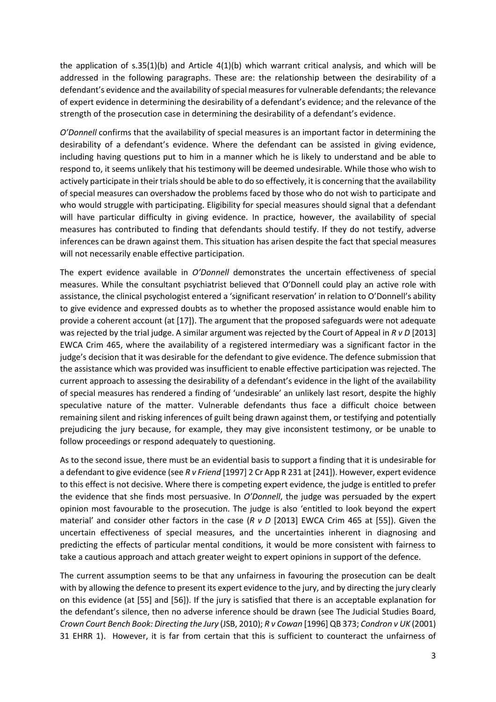the application of s.35(1)(b) and Article  $4(1)(b)$  which warrant critical analysis, and which will be addressed in the following paragraphs. These are: the relationship between the desirability of a defendant's evidence and the availability of special measures for vulnerable defendants; the relevance of expert evidence in determining the desirability of a defendant's evidence; and the relevance of the strength of the prosecution case in determining the desirability of a defendant's evidence.

*O'Donnell* confirms that the availability of special measures is an important factor in determining the desirability of a defendant's evidence. Where the defendant can be assisted in giving evidence, including having questions put to him in a manner which he is likely to understand and be able to respond to, it seems unlikely that his testimony will be deemed undesirable. While those who wish to actively participate in their trials should be able to do so effectively, it is concerning that the availability of special measures can overshadow the problems faced by those who do not wish to participate and who would struggle with participating. Eligibility for special measures should signal that a defendant will have particular difficulty in giving evidence. In practice, however, the availability of special measures has contributed to finding that defendants should testify. If they do not testify, adverse inferences can be drawn against them. This situation has arisen despite the fact that special measures will not necessarily enable effective participation.

The expert evidence available in *O'Donnell* demonstrates the uncertain effectiveness of special measures. While the consultant psychiatrist believed that O'Donnell could play an active role with assistance, the clinical psychologist entered a 'significant reservation' in relation to O'Donnell's ability to give evidence and expressed doubts as to whether the proposed assistance would enable him to provide a coherent account (at [17]). The argument that the proposed safeguards were not adequate was rejected by the trial judge. A similar argument was rejected by the Court of Appeal in *R v D* [2013] EWCA Crim 465, where the availability of a registered intermediary was a significant factor in the judge's decision that it was desirable for the defendant to give evidence. The defence submission that the assistance which was provided was insufficient to enable effective participation was rejected. The current approach to assessing the desirability of a defendant's evidence in the light of the availability of special measures has rendered a finding of 'undesirable' an unlikely last resort, despite the highly speculative nature of the matter. Vulnerable defendants thus face a difficult choice between remaining silent and risking inferences of guilt being drawn against them, or testifying and potentially prejudicing the jury because, for example, they may give inconsistent testimony, or be unable to follow proceedings or respond adequately to questioning.

As to the second issue, there must be an evidential basis to support a finding that it is undesirable for a defendant to give evidence (see *R v Friend* [1997] 2 Cr App R 231 at [241]). However, expert evidence to this effect is not decisive. Where there is competing expert evidence, the judge is entitled to prefer the evidence that she finds most persuasive. In *O'Donnell*, the judge was persuaded by the expert opinion most favourable to the prosecution. The judge is also 'entitled to look beyond the expert material' and consider other factors in the case (*R v D* [2013] EWCA Crim 465 at [55]). Given the uncertain effectiveness of special measures, and the uncertainties inherent in diagnosing and predicting the effects of particular mental conditions, it would be more consistent with fairness to take a cautious approach and attach greater weight to expert opinions in support of the defence.

The current assumption seems to be that any unfairness in favouring the prosecution can be dealt with by allowing the defence to present its expert evidence to the jury, and by directing the jury clearly on this evidence (at [55] and [56]). If the jury is satisfied that there is an acceptable explanation for the defendant's silence, then no adverse inference should be drawn (see The Judicial Studies Board, *Crown Court Bench Book: Directing the Jury* (JSB, 2010); *R v Cowan* [1996] QB 373; *Condron v UK* (2001) 31 EHRR 1). However, it is far from certain that this is sufficient to counteract the unfairness of